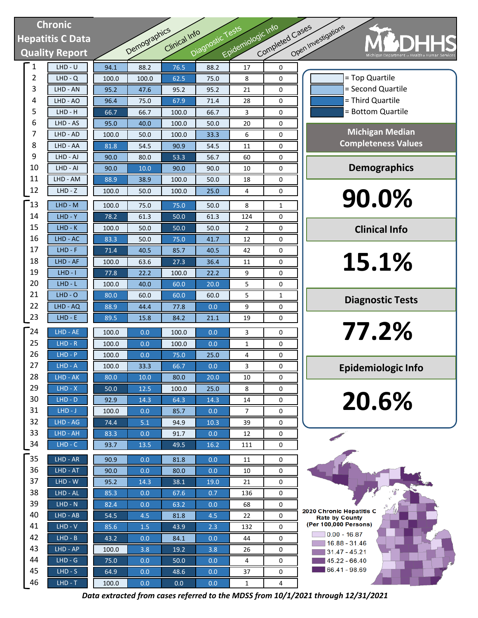# **Chronic Hepatitis C Data Quality Report**

| Chronic |                   |                       |              |              |               |                  |                    |                 |                              |
|---------|-------------------|-----------------------|--------------|--------------|---------------|------------------|--------------------|-----------------|------------------------------|
|         |                   | lepatitis C Data      |              |              | Clinical Info |                  |                    |                 |                              |
|         |                   | <b>Quality Report</b> |              | Demographics |               | Diagnostic Tests | Epidemiologic Info | Completed Cases | Open Investigations          |
|         | 1                 | $LHD - U$             | 94.1         | 88.2         | 76.5          | 88.2             | 17                 | 0               |                              |
|         | $\overline{2}$    | $LHD - Q$             | 100.0        | 100.0        | 62.5          | 75.0             | 8                  | 0               |                              |
|         | 3                 | LHD - AN              | 95.2         | 47.6         | 95.2          | 95.2             | 21                 | 0               |                              |
|         | 4                 | LHD - AO              | 96.4         | 75.0         | 67.9          | 71.4             | 28                 | 0               |                              |
|         | 5                 | LHD - H               | 66.7         | 66.7         | 100.0         | 66.7             | 3                  | 0               |                              |
|         | 6                 | LHD - AS              | 95.0         | 40.0         | 100.0         | 50.0             | 20                 | 0               |                              |
|         | 7                 | LHD - AD              | 100.0        | 50.0         | 100.0         | 33.3             | 6                  | 0               |                              |
|         | 8                 | LHD - AA              | 81.8         | 54.5         | 90.9          | 54.5             | 11                 | 0               | $\mathsf{C}\mathsf{C}$       |
|         | 9                 | LHD - AJ              | 90.0         | 80.0         | 53.3          | 56.7             | 60                 | 0               |                              |
|         | 10                | LHD - AI              | 90.0         | 10.0         | 90.0          | 90.0             | 10                 | 0               |                              |
|         | 11                | LHD - AM              | 88.9         | 38.9         | 100.0         | 50.0             | 18                 | 0               |                              |
|         | 12                | $LHD - Z$             | 100.0        | 50.0         | 100.0         | 25.0             | 4                  | 0               |                              |
|         | 13                | LHD - M               | 100.0        | 75.0         | 75.0          | 50.0             | 8                  | 1               |                              |
|         | 14                | $LHD - Y$             | 78.2         | 61.3         | 50.0          | 61.3             | 124                | 0               |                              |
|         | 15                | $LHD-K$               | 100.0        | 50.0         | 50.0          | 50.0             | 2                  | 0               |                              |
|         | 16                | LHD - AC              | 83.3         | 50.0         | 75.0          | 41.7             | 12                 | 0               |                              |
|         | 17                | $LHD - F$             | 71.4         | 40.5         | 85.7          | 40.5             | 42                 | 0               |                              |
|         | 18                | LHD - AF              | 100.0        | 63.6         | 27.3          | 36.4             | 11                 | 0               |                              |
|         | 19                | $LHD - I$             | 77.8         | 22.2         | 100.0         | 22.2             | 9                  | 0               |                              |
|         | 20                | $LHD - L$             | 100.0        | 40.0         | 60.0          | 20.0             | 5                  | 0               |                              |
|         | 21                | $LHD - O$             | 80.0         | 60.0         | 60.0          | 60.0             | 5                  | 1               |                              |
|         | 22                | LHD - AQ              | 88.9         | 44.4         | 77.8          | 0.0              | 9                  | 0               |                              |
|         | 23                | $LHD - E$             | 89.5         | 15.8         | 84.2          | 21.1             | 19                 | 0               |                              |
|         | $\mathsf{^{-24}}$ | LHD - AE              | 100.0        | 0.0          | 100.0         | 0.0              | 3                  | 0               |                              |
|         | 25                | $LHD - R$             | 100.0        | 0.0          | 100.0         | 0.0              | 1                  | 0               |                              |
|         | 26                | $LHD - P$             | 100.0        | 0.0          | 75.0          | 25.0             | 4                  | 0               |                              |
|         | 27                | $LHD - A$             | 100.0        | 33.3         | 66.7          | $0.0\,$          | 3                  | 0               | Ep                           |
|         | 28                | LHD - AK              | 80.0         | 10.0         | 80.0          | 20.0             | 10                 | 0               |                              |
|         | 29                | $LHD - X$             | 50.0         | 12.5         | 100.0         | 25.0             | 8                  | 0               |                              |
|         | 30                | $LHD - D$             | 92.9         | 14.3         | 64.3          | 14.3             | 14                 | 0               |                              |
|         | 31                | $LHD-J$               | 100.0        | 0.0          | 85.7          | 0.0              | 7                  | 0               |                              |
|         | 32                | LHD - AG              | 74.4         | 5.1          | 94.9          | 10.3             | 39                 | 0               |                              |
|         | 33                | LHD - AH              | 83.3         | 0.0          | 91.7          | 0.0              | 12                 | 0               |                              |
|         | 34                | $LHD - C$             | 93.7         | 13.5         | 49.5          | 16.2             | 111                | 0               |                              |
|         | 35                | LHD - AR              | 90.9         | 0.0          | 81.8          | 0.0              | 11                 | 0               |                              |
|         | 36                | $LHD - AT$            | 90.0         | 0.0          | 80.0          | 0.0              | 10                 | 0               |                              |
|         | 37                | LHD - W               | 95.2         | 14.3         | 38.1          | 19.0             | 21                 | 0               |                              |
|         | 38                | LHD - AL              | 85.3         | 0.0          | 67.6          | 0.7              | 136                | 0               |                              |
|         | 39                | $LHD - N$             | 82.4         | 0.0          | 63.2          | 0.0              | 68                 | 0               | 2020 Chronic H               |
|         | 40                | LHD - AB              | 54.5         | 4.5          | 81.8          | 4.5              | 22                 | 0               | Rate by Co<br>(Per 100,000 P |
|         | 41                | $LHD - V$             | 85.6         | 1.5          | 43.9          | 2.3              | 132                | 0               | $0.00 - 1$                   |
|         | 42                | $LHD - B$             | 43.2         | 0.0          | 84.1          | 0.0              | 44                 | 0               | $16.88 -$                    |
|         | 43<br>44          | LHD - AP              | 100.0        | 3.8          | 19.2          | 3.8              | 26                 | 0               | 31.47 -                      |
|         | 45                | $LHD - G$<br>$LHD-S$  | 75.0<br>64.9 | 0.0          | 50.0<br>48.6  | 0.0              | 4                  | 0<br>0          | $ 45.22 -$<br>$ 66.41 -$     |
|         | 46                | $LHD - T$             | 100.0        | 0.0<br>0.0   | 0.0           | 0.0<br>0.0       | 37<br>$\mathbf 1$  | 4               |                              |
|         |                   |                       |              |              |               |                  |                    |                 |                              |

= Bottom Quartile = Third Quartile = Second Quartile = Top Quartile

**Michigan Median Completeness Values**

**Demographics**

**90.0%**

**Clinical Info**

**15.1%**

**Diagnostic Tests**

**77.2%**

**Epidemiologic Info**

**20.6%**

2020 Chronic Hepatitis C Rate by County (Per 100,000 Persons)  $\sqrt{0.00 - 16.87}$  $16.88 - 31.46$  $31.47 - 45.21$  $145.22 - 66.40$ 66.41 - 98.69

*Data extracted from cases referred to the MDSS from 10/1/2021 through 12/31/2021*